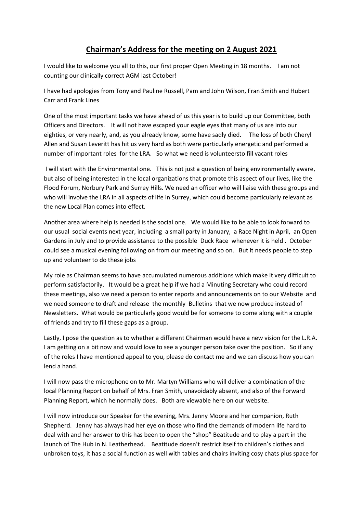## **Chairman's Address for the meeting on 2 August 2021**

I would like to welcome you all to this, our first proper Open Meeting in 18 months. I am not counting our clinically correct AGM last October!

I have had apologies from Tony and Pauline Russell, Pam and John Wilson, Fran Smith and Hubert Carr and Frank Lines

One of the most important tasks we have ahead of us this year is to build up our Committee, both Officers and Directors. It will not have escaped your eagle eyes that many of us are into our eighties, or very nearly, and, as you already know, some have sadly died. The loss of both Cheryl Allen and Susan Leveritt has hit us very hard as both were particularly energetic and performed a number of important roles for the LRA. So what we need is volunteersto fill vacant roles

I will start with the Environmental one. This is not just a question of being environmentally aware, but also of being interested in the local organizations that promote this aspect of our lives, like the Flood Forum, Norbury Park and Surrey Hills. We need an officer who will liaise with these groups and who will involve the LRA in all aspects of life in Surrey, which could become particularly relevant as the new Local Plan comes into effect.

Another area where help is needed is the social one. We would like to be able to look forward to our usual social events next year, including a small party in January, a Race Night in April, an Open Gardens in July and to provide assistance to the possible Duck Race whenever it is held . October could see a musical evening following on from our meeting and so on. But it needs people to step up and volunteer to do these jobs

My role as Chairman seems to have accumulated numerous additions which make it very difficult to perform satisfactorily. It would be a great help if we had a Minuting Secretary who could record these meetings, also we need a person to enter reports and announcements on to our Website and we need someone to draft and release the monthly Bulletins that we now produce instead of Newsletters. What would be particularly good would be for someone to come along with a couple of friends and try to fill these gaps as a group.

Lastly, I pose the question as to whether a different Chairman would have a new vision for the L.R.A. I am getting on a bit now and would love to see a younger person take over the position. So if any of the roles I have mentioned appeal to you, please do contact me and we can discuss how you can lend a hand.

I will now pass the microphone on to Mr. Martyn Williams who will deliver a combination of the local Planning Report on behalf of Mrs. Fran Smith, unavoidably absent, and also of the Forward Planning Report, which he normally does. Both are viewable here on our website.

I will now introduce our Speaker for the evening, Mrs. Jenny Moore and her companion, Ruth Shepherd. Jenny has always had her eye on those who find the demands of modern life hard to deal with and her answer to this has been to open the "shop" Beatitude and to play a part in the launch of The Hub in N. Leatherhead. Beatitude doesn't restrict itself to children's clothes and unbroken toys, it has a social function as well with tables and chairs inviting cosy chats plus space for